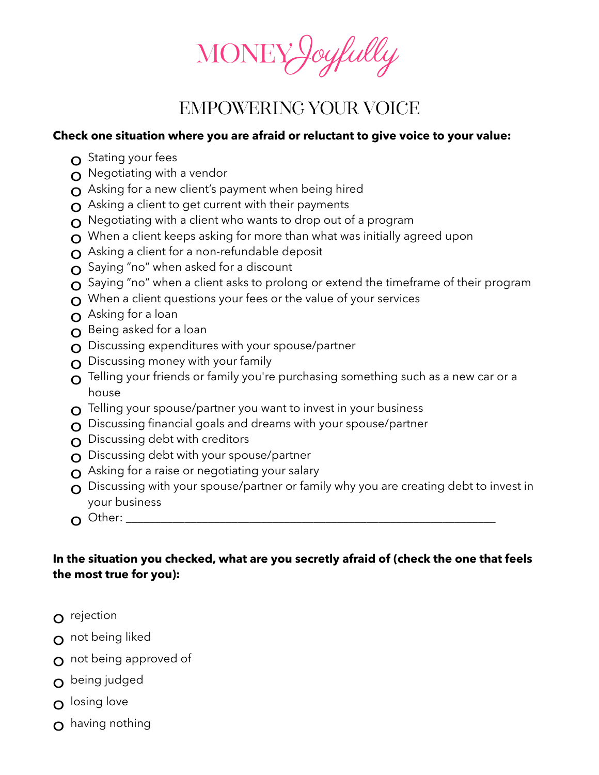

## Empowering Your Voice

## **Check one situation where you are afraid or reluctant to give voice to your value:**

- $\Omega$  Stating your fees
- $\Omega$  Negotiating with a vendor
- $\Omega$  Asking for a new client's payment when being hired
- $\Omega$  Asking a client to get current with their payments
- $\Omega$  Negotiating with a client who wants to drop out of a program
- $\Omega$  When a client keeps asking for more than what was initially agreed upon
- $\Omega$  Asking a client for a non-refundable deposit
- o Saying "no" when asked for a discount
- $\Omega$  Saying "no" when a client asks to prolong or extend the timeframe of their program
- $\Omega$  When a client questions your fees or the value of your services
- o Asking for a loan
- **O** Being asked for a loan
- $\Omega$  Discussing expenditures with your spouse/partner
- $\Omega$  Discussing money with your family
- $\Omega$  Telling your friends or family you're purchasing something such as a new car or a house
- $\Omega$  Telling your spouse/partner you want to invest in your business
- $\Omega$  Discussing financial goals and dreams with your spouse/partner
- $\Omega$  Discussing debt with creditors
- O Discussing debt with your spouse/partner
- $\Omega$  Asking for a raise or negotiating your salary
- $\Omega$  Discussing with your spouse/partner or family why you are creating debt to invest in your business
- o Other: \_\_\_\_\_\_\_\_\_\_\_\_\_\_\_\_\_\_\_\_\_\_\_\_\_\_\_\_\_\_\_\_\_\_\_\_\_\_\_\_\_\_\_\_\_\_\_\_\_\_\_\_\_\_\_\_\_\_\_\_\_\_\_

## **In the situation you checked, what are you secretly afraid of (check the one that feels the most true for you):**

- o rejection
- O not being liked
- $\Omega$  not being approved of
- o being judged
- o losing love
- o having nothing